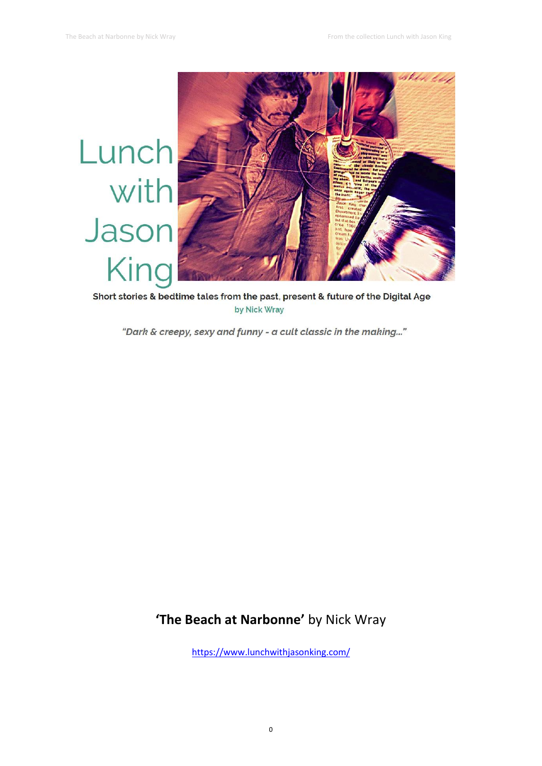

Short stories & bedtime tales from the past, present & future of the Digital Age by Nick Wray

"Dark & creepy, sexy and funny - a cult classic in the making..."

# **'The Beach at Narbonne'** by Nick Wray

<https://www.lunchwithjasonking.com/>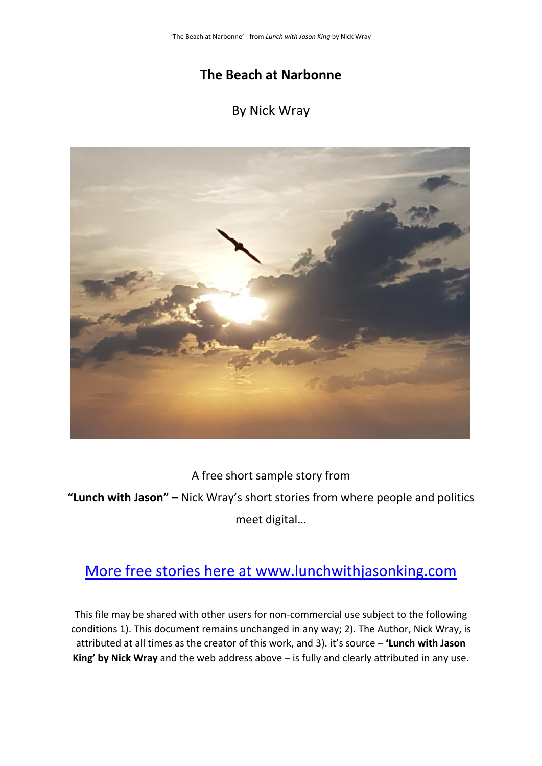### **The Beach at Narbonne**

### By Nick Wray



A free short sample story from

**"Lunch with Jason" –** Nick Wray's short stories from where people and politics meet digital…

## More free stories here at www.lunchwithjasonking.com

This file may be shared with other users for non-commercial use subject to the following conditions 1). This document remains unchanged in any way; 2). The Author, Nick Wray, is attributed at all times as the creator of this work, and 3). it's source – **'Lunch with Jason King' by Nick Wray** and the web address above – is fully and clearly attributed in any use.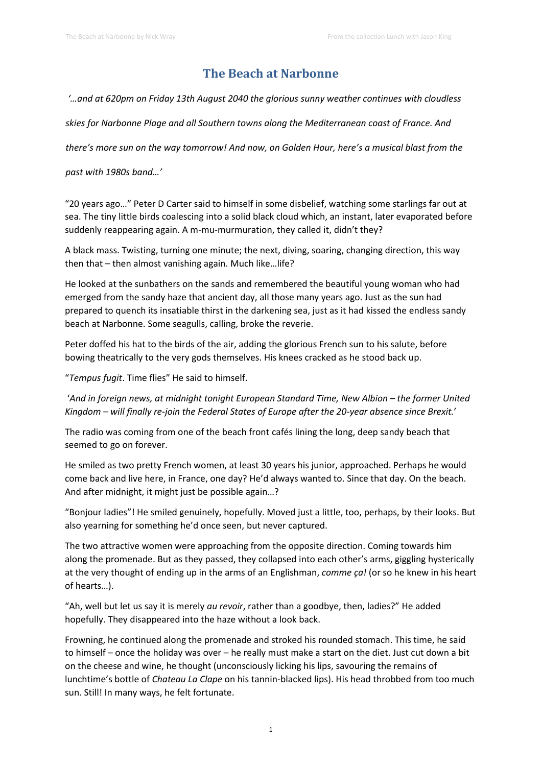### **The Beach at Narbonne**

*'…and at 620pm on Friday 13th August 2040 the glorious sunny weather continues with cloudless* 

*skies for Narbonne Plage and all Southern towns along the Mediterranean coast of France. And* 

*there's more sun on the way tomorrow! And now, on Golden Hour, here's a musical blast from the* 

*past with 1980s band…'*

"20 years ago…" Peter D Carter said to himself in some disbelief, watching some starlings far out at sea. The tiny little birds coalescing into a solid black cloud which, an instant, later evaporated before suddenly reappearing again. A m-mu-murmuration, they called it, didn't they?

A black mass. Twisting, turning one minute; the next, diving, soaring, changing direction, this way then that – then almost vanishing again. Much like…life?

He looked at the sunbathers on the sands and remembered the beautiful young woman who had emerged from the sandy haze that ancient day, all those many years ago. Just as the sun had prepared to quench its insatiable thirst in the darkening sea, just as it had kissed the endless sandy beach at Narbonne. Some seagulls, calling, broke the reverie.

Peter doffed his hat to the birds of the air, adding the glorious French sun to his salute, before bowing theatrically to the very gods themselves. His knees cracked as he stood back up.

"*Tempus fugit*. Time flies" He said to himself.

'And in foreign news, at midnight tonight European Standard Time, New Albion - the former United *Kingdom – will finally re-join the Federal States of Europe after the 20-year absence since Brexit.*'

The radio was coming from one of the beach front cafés lining the long, deep sandy beach that seemed to go on forever.

He smiled as two pretty French women, at least 30 years his junior, approached. Perhaps he would come back and live here, in France, one day? He'd always wanted to. Since that day. On the beach. And after midnight, it might just be possible again…?

"Bonjour ladies"! He smiled genuinely, hopefully. Moved just a little, too, perhaps, by their looks. But also yearning for something he'd once seen, but never captured.

The two attractive women were approaching from the opposite direction. Coming towards him along the promenade. But as they passed, they collapsed into each other's arms, giggling hysterically at the very thought of ending up in the arms of an Englishman, *comme ça!* (or so he knew in his heart of hearts…).

"Ah, well but let us say it is merely *au revoir*, rather than a goodbye, then, ladies?" He added hopefully. They disappeared into the haze without a look back.

Frowning, he continued along the promenade and stroked his rounded stomach. This time, he said to himself – once the holiday was over – he really must make a start on the diet. Just cut down a bit on the cheese and wine, he thought (unconsciously licking his lips, savouring the remains of lunchtime's bottle of *Chateau La Clape* on his tannin-blacked lips). His head throbbed from too much sun. Still! In many ways, he felt fortunate.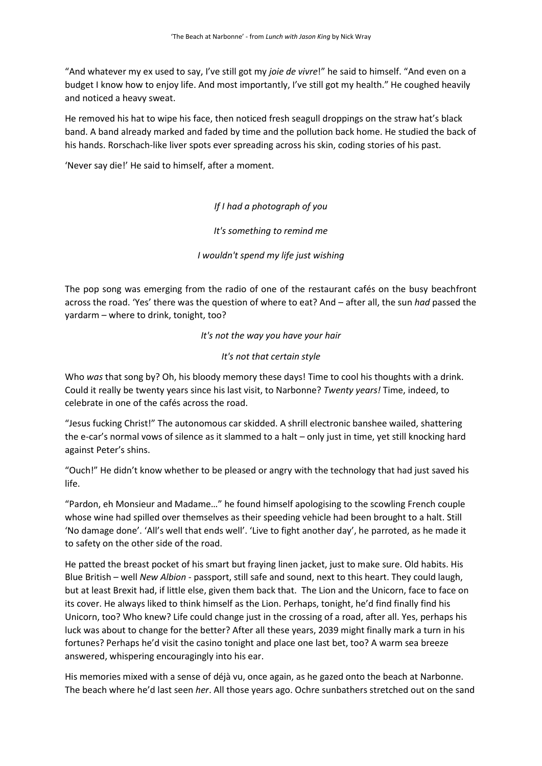"And whatever my ex used to say, I've still got my *joie de vivre*!" he said to himself. "And even on a budget I know how to enjoy life. And most importantly, I've still got my health." He coughed heavily and noticed a heavy sweat.

He removed his hat to wipe his face, then noticed fresh seagull droppings on the straw hat's black band. A band already marked and faded by time and the pollution back home. He studied the back of his hands. Rorschach-like liver spots ever spreading across his skin, coding stories of his past.

'Never say die!' He said to himself, after a moment.

#### *If I had a photograph of you*

*It's something to remind me* 

*I wouldn't spend my life just wishing* 

The pop song was emerging from the radio of one of the restaurant cafés on the busy beachfront across the road. 'Yes' there was the question of where to eat? And – after all, the sun *had* passed the yardarm – where to drink, tonight, too?

*It's not the way you have your hair*

#### *It's not that certain style*

Who *was* that song by? Oh, his bloody memory these days! Time to cool his thoughts with a drink. Could it really be twenty years since his last visit, to Narbonne? *Twenty years!* Time, indeed, to celebrate in one of the cafés across the road.

"Jesus fucking Christ!" The autonomous car skidded. A shrill electronic banshee wailed, shattering the e-car's normal vows of silence as it slammed to a halt – only just in time, yet still knocking hard against Peter's shins.

"Ouch!" He didn't know whether to be pleased or angry with the technology that had just saved his life.

"Pardon, eh Monsieur and Madame…" he found himself apologising to the scowling French couple whose wine had spilled over themselves as their speeding vehicle had been brought to a halt. Still 'No damage done'. 'All's well that ends well'. 'Live to fight another day', he parroted, as he made it to safety on the other side of the road.

He patted the breast pocket of his smart but fraying linen jacket, just to make sure. Old habits. His Blue British – well *New Albion* - passport, still safe and sound, next to this heart. They could laugh, but at least Brexit had, if little else, given them back that. The Lion and the Unicorn, face to face on its cover. He always liked to think himself as the Lion. Perhaps, tonight, he'd find finally find his Unicorn, too? Who knew? Life could change just in the crossing of a road, after all. Yes, perhaps his luck was about to change for the better? After all these years, 2039 might finally mark a turn in his fortunes? Perhaps he'd visit the casino tonight and place one last bet, too? A warm sea breeze answered, whispering encouragingly into his ear.

His memories mixed with a sense of déjà vu, once again, as he gazed onto the beach at Narbonne. The beach where he'd last seen *her*. All those years ago. Ochre sunbathers stretched out on the sand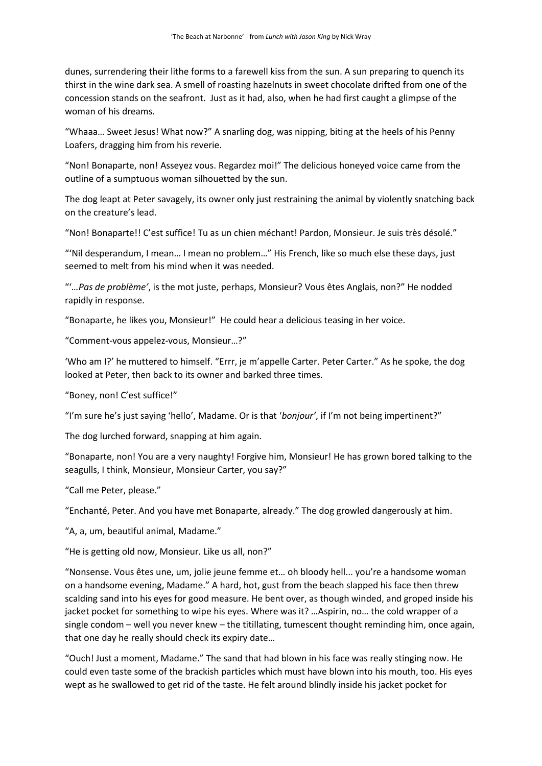dunes, surrendering their lithe forms to a farewell kiss from the sun. A sun preparing to quench its thirst in the wine dark sea. A smell of roasting hazelnuts in sweet chocolate drifted from one of the concession stands on the seafront. Just as it had, also, when he had first caught a glimpse of the woman of his dreams.

"Whaaa… Sweet Jesus! What now?" A snarling dog, was nipping, biting at the heels of his Penny Loafers, dragging him from his reverie.

"Non! Bonaparte, non! Asseyez vous. Regardez moi!" The delicious honeyed voice came from the outline of a sumptuous woman silhouetted by the sun.

The dog leapt at Peter savagely, its owner only just restraining the animal by violently snatching back on the creature's lead.

"Non! Bonaparte!! C'est suffice! Tu as un chien méchant! Pardon, Monsieur. Je suis très désolé."

"'Nil desperandum, I mean… I mean no problem…" His French, like so much else these days, just seemed to melt from his mind when it was needed.

"'*…Pas de problème'*, is the mot juste, perhaps, Monsieur? Vous êtes Anglais, non?" He nodded rapidly in response.

"Bonaparte, he likes you, Monsieur!" He could hear a delicious teasing in her voice.

"Comment-vous appelez-vous, Monsieur…?"

'Who am I?' he muttered to himself. "Errr, je m'appelle Carter. Peter Carter." As he spoke, the dog looked at Peter, then back to its owner and barked three times.

"Boney, non! C'est suffice!"

"I'm sure he's just saying 'hello', Madame. Or is that '*bonjour'*, if I'm not being impertinent?"

The dog lurched forward, snapping at him again.

"Bonaparte, non! You are a very naughty! Forgive him, Monsieur! He has grown bored talking to the seagulls, I think, Monsieur, Monsieur Carter, you say?"

"Call me Peter, please."

"Enchanté, Peter. And you have met Bonaparte, already." The dog growled dangerously at him.

"A, a, um, beautiful animal, Madame."

"He is getting old now, Monsieur. Like us all, non?"

"Nonsense. Vous êtes une, um, jolie jeune femme et… oh bloody hell... you're a handsome woman on a handsome evening, Madame." A hard, hot, gust from the beach slapped his face then threw scalding sand into his eyes for good measure. He bent over, as though winded, and groped inside his jacket pocket for something to wipe his eyes. Where was it? …Aspirin, no… the cold wrapper of a single condom – well you never knew – the titillating, tumescent thought reminding him, once again, that one day he really should check its expiry date…

"Ouch! Just a moment, Madame." The sand that had blown in his face was really stinging now. He could even taste some of the brackish particles which must have blown into his mouth, too. His eyes wept as he swallowed to get rid of the taste. He felt around blindly inside his jacket pocket for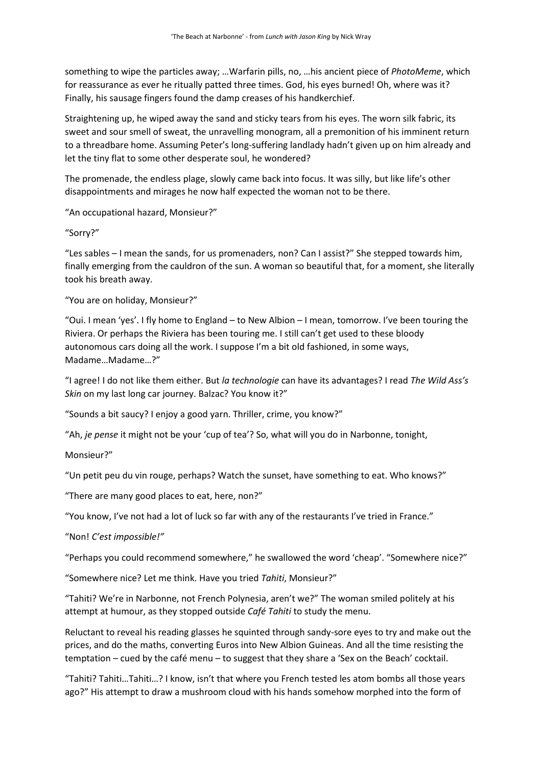something to wipe the particles away; …Warfarin pills, no, …his ancient piece of *PhotoMeme*, which for reassurance as ever he ritually patted three times. God, his eyes burned! Oh, where was it? Finally, his sausage fingers found the damp creases of his handkerchief.

Straightening up, he wiped away the sand and sticky tears from his eyes. The worn silk fabric, its sweet and sour smell of sweat, the unravelling monogram, all a premonition of his imminent return to a threadbare home. Assuming Peter's long-suffering landlady hadn't given up on him already and let the tiny flat to some other desperate soul, he wondered?

The promenade, the endless plage, slowly came back into focus. It was silly, but like life's other disappointments and mirages he now half expected the woman not to be there.

"An occupational hazard, Monsieur?"

#### "Sorry?"

"Les sables – I mean the sands, for us promenaders, non? Can I assist?" She stepped towards him, finally emerging from the cauldron of the sun. A woman so beautiful that, for a moment, she literally took his breath away.

"You are on holiday, Monsieur?"

"Oui. I mean 'yes'. I fly home to England – to New Albion – I mean, tomorrow. I've been touring the Riviera. Or perhaps the Riviera has been touring me. I still can't get used to these bloody autonomous cars doing all the work. I suppose I'm a bit old fashioned, in some ways, Madame…Madame…?"

"I agree! I do not like them either. But *la technologie* can have its advantages? I read *The Wild Ass's Skin* on my last long car journey. Balzac? You know it?"

"Sounds a bit saucy? I enjoy a good yarn. Thriller, crime, you know?"

"Ah, *je pense* it might not be your 'cup of tea'? So, what will you do in Narbonne, tonight,

Monsieur?"

"Un petit peu du vin rouge, perhaps? Watch the sunset, have something to eat. Who knows?"

"There are many good places to eat, here, non?"

"You know, I've not had a lot of luck so far with any of the restaurants I've tried in France."

"Non! *C'est impossible!"*

"Perhaps you could recommend somewhere," he swallowed the word 'cheap'. "Somewhere nice?"

"Somewhere nice? Let me think. Have you tried *Tahiti*, Monsieur?"

"Tahiti? We're in Narbonne, not French Polynesia, aren't we?" The woman smiled politely at his attempt at humour, as they stopped outside *Café Tahiti* to study the menu.

Reluctant to reveal his reading glasses he squinted through sandy-sore eyes to try and make out the prices, and do the maths, converting Euros into New Albion Guineas. And all the time resisting the temptation – cued by the café menu – to suggest that they share a 'Sex on the Beach' cocktail.

"Tahiti? Tahiti…Tahiti…? I know, isn't that where you French tested les atom bombs all those years ago?" His attempt to draw a mushroom cloud with his hands somehow morphed into the form of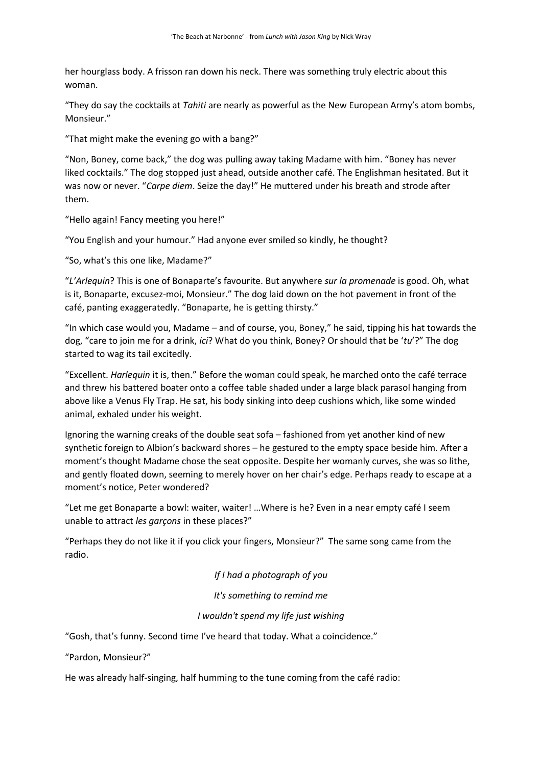her hourglass body. A frisson ran down his neck. There was something truly electric about this woman.

"They do say the cocktails at *Tahiti* are nearly as powerful as the New European Army's atom bombs, Monsieur."

"That might make the evening go with a bang?"

"Non, Boney, come back," the dog was pulling away taking Madame with him. "Boney has never liked cocktails." The dog stopped just ahead, outside another café. The Englishman hesitated. But it was now or never. "*Carpe diem*. Seize the day!" He muttered under his breath and strode after them.

"Hello again! Fancy meeting you here!"

"You English and your humour." Had anyone ever smiled so kindly, he thought?

"So, what's this one like, Madame?"

"*L'Arlequin*? This is one of Bonaparte's favourite. But anywhere *sur la promenade* is good. Oh, what is it, Bonaparte, excusez-moi, Monsieur." The dog laid down on the hot pavement in front of the café, panting exaggeratedly. "Bonaparte, he is getting thirsty."

"In which case would you, Madame – and of course, you, Boney," he said, tipping his hat towards the dog, "care to join me for a drink, *ici*? What do you think, Boney? Or should that be '*tu*'?" The dog started to wag its tail excitedly.

"Excellent. *Harlequin* it is, then." Before the woman could speak, he marched onto the café terrace and threw his battered boater onto a coffee table shaded under a large black parasol hanging from above like a Venus Fly Trap. He sat, his body sinking into deep cushions which, like some winded animal, exhaled under his weight.

Ignoring the warning creaks of the double seat sofa – fashioned from yet another kind of new synthetic foreign to Albion's backward shores – he gestured to the empty space beside him. After a moment's thought Madame chose the seat opposite. Despite her womanly curves, she was so lithe, and gently floated down, seeming to merely hover on her chair's edge. Perhaps ready to escape at a moment's notice, Peter wondered?

"Let me get Bonaparte a bowl: waiter, waiter! …Where is he? Even in a near empty café I seem unable to attract *les garçons* in these places?"

"Perhaps they do not like it if you click your fingers, Monsieur?" The same song came from the radio.

> *If I had a photograph of you It's something to remind me I wouldn't spend my life just wishing*

"Gosh, that's funny. Second time I've heard that today. What a coincidence."

"Pardon, Monsieur?"

He was already half-singing, half humming to the tune coming from the café radio: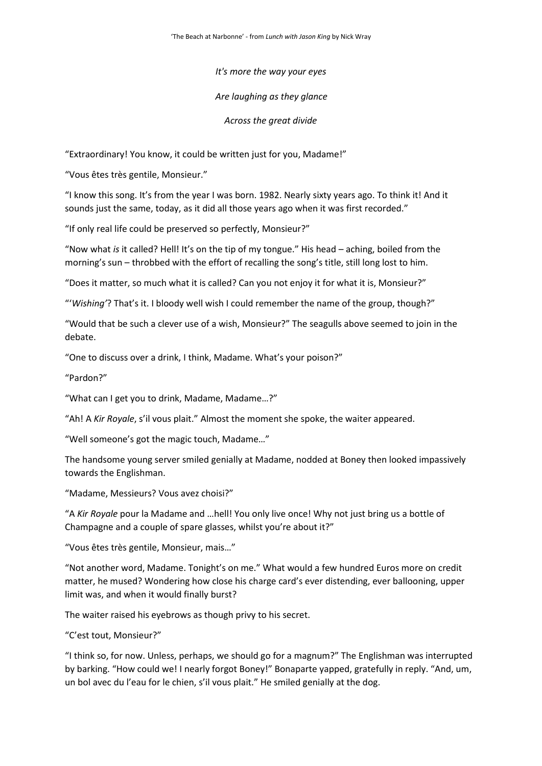'The Beach at Narbonne' - from *Lunch with Jason King* by Nick Wray

*It's more the way your eyes* 

#### *Are laughing as they glance*

*Across the great divide* 

"Extraordinary! You know, it could be written just for you, Madame!"

"Vous êtes très gentile, Monsieur."

"I know this song. It's from the year I was born. 1982. Nearly sixty years ago. To think it! And it sounds just the same, today, as it did all those years ago when it was first recorded."

"If only real life could be preserved so perfectly, Monsieur?"

"Now what *is* it called? Hell! It's on the tip of my tongue." His head – aching, boiled from the morning's sun – throbbed with the effort of recalling the song's title, still long lost to him.

"Does it matter, so much what it is called? Can you not enjoy it for what it is, Monsieur?"

"'*Wishing'*? That's it. I bloody well wish I could remember the name of the group, though?"

"Would that be such a clever use of a wish, Monsieur?" The seagulls above seemed to join in the debate.

"One to discuss over a drink, I think, Madame. What's your poison?"

"Pardon?"

"What can I get you to drink, Madame, Madame…?"

"Ah! A *Kir Royale*, s'il vous plait." Almost the moment she spoke, the waiter appeared.

"Well someone's got the magic touch, Madame…"

The handsome young server smiled genially at Madame, nodded at Boney then looked impassively towards the Englishman.

"Madame, Messieurs? Vous avez choisi?"

"A *Kir Royale* pour la Madame and …hell! You only live once! Why not just bring us a bottle of Champagne and a couple of spare glasses, whilst you're about it?"

"Vous êtes très gentile, Monsieur, mais…"

"Not another word, Madame. Tonight's on me." What would a few hundred Euros more on credit matter, he mused? Wondering how close his charge card's ever distending, ever ballooning, upper limit was, and when it would finally burst?

The waiter raised his eyebrows as though privy to his secret.

"C'est tout, Monsieur?"

"I think so, for now. Unless, perhaps, we should go for a magnum?" The Englishman was interrupted by barking. "How could we! I nearly forgot Boney!" Bonaparte yapped, gratefully in reply. "And, um, un bol avec du l'eau for le chien, s'il vous plait." He smiled genially at the dog.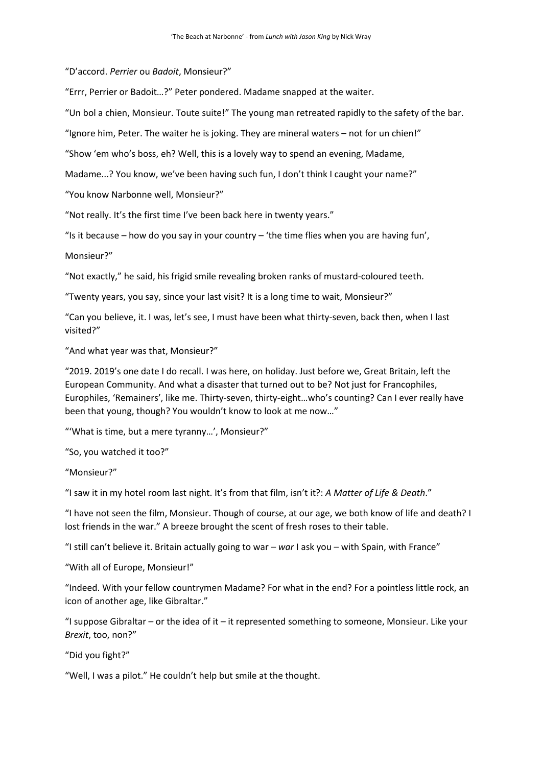"D'accord. *Perrier* ou *Badoit*, Monsieur?"

"Errr, Perrier or Badoit…?" Peter pondered. Madame snapped at the waiter.

"Un bol a chien, Monsieur. Toute suite!" The young man retreated rapidly to the safety of the bar.

"Ignore him, Peter. The waiter he is joking. They are mineral waters – not for un chien!"

"Show 'em who's boss, eh? Well, this is a lovely way to spend an evening, Madame,

Madame...? You know, we've been having such fun, I don't think I caught your name?"

"You know Narbonne well, Monsieur?"

"Not really. It's the first time I've been back here in twenty years."

"Is it because – how do you say in your country – 'the time flies when you are having fun',

Monsieur?"

"Not exactly," he said, his frigid smile revealing broken ranks of mustard-coloured teeth.

"Twenty years, you say, since your last visit? It is a long time to wait, Monsieur?"

"Can you believe, it. I was, let's see, I must have been what thirty-seven, back then, when I last visited?"

"And what year was that, Monsieur?"

"2019. 2019's one date I do recall. I was here, on holiday. Just before we, Great Britain, left the European Community. And what a disaster that turned out to be? Not just for Francophiles, Europhiles, 'Remainers', like me. Thirty-seven, thirty-eight…who's counting? Can I ever really have been that young, though? You wouldn't know to look at me now…"

"'What is time, but a mere tyranny…', Monsieur?"

"So, you watched it too?"

"Monsieur?"

"I saw it in my hotel room last night. It's from that film, isn't it?: *A Matter of Life & Death*."

"I have not seen the film, Monsieur. Though of course, at our age, we both know of life and death? I lost friends in the war." A breeze brought the scent of fresh roses to their table.

"I still can't believe it. Britain actually going to war – *war* I ask you – with Spain, with France"

"With all of Europe, Monsieur!"

"Indeed. With your fellow countrymen Madame? For what in the end? For a pointless little rock, an icon of another age, like Gibraltar."

"I suppose Gibraltar – or the idea of it – it represented something to someone, Monsieur. Like your *Brexit*, too, non?"

"Did you fight?"

"Well, I was a pilot." He couldn't help but smile at the thought.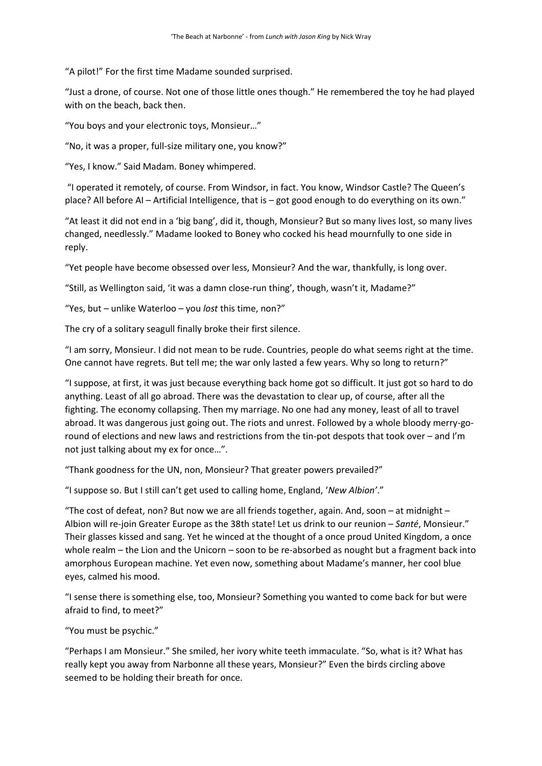"A pilot!" For the first time Madame sounded surprised.

"Just a drone, of course. Not one of those little ones though." He remembered the toy he had played with on the beach, back then.

"You boys and your electronic toys, Monsieur…"

"No, it was a proper, full-size military one, you know?"

"Yes, I know." Said Madam. Boney whimpered.

"I operated it remotely, of course. From Windsor, in fact. You know, Windsor Castle? The Queen's place? All before AI – Artificial Intelligence, that is – got good enough to do everything on its own."

"At least it did not end in a 'big bang', did it, though, Monsieur? But so many lives lost, so many lives changed, needlessly." Madame looked to Boney who cocked his head mournfully to one side in reply.

"Yet people have become obsessed over less, Monsieur? And the war, thankfully, is long over.

"Still, as Wellington said, 'it was a damn close-run thing', though, wasn't it, Madame?"

"Yes, but – unlike Waterloo – you *lost* this time, non?"

The cry of a solitary seagull finally broke their first silence.

"I am sorry, Monsieur. I did not mean to be rude. Countries, people do what seems right at the time. One cannot have regrets. But tell me; the war only lasted a few years. Why so long to return?"

"I suppose, at first, it was just because everything back home got so difficult. It just got so hard to do anything. Least of all go abroad. There was the devastation to clear up, of course, after all the fighting. The economy collapsing. Then my marriage. No one had any money, least of all to travel abroad. It was dangerous just going out. The riots and unrest. Followed by a whole bloody merry-goround of elections and new laws and restrictions from the tin-pot despots that took over – and I'm not just talking about my ex for once…".

"Thank goodness for the UN, non, Monsieur? That greater powers prevailed?"

"I suppose so. But I still can't get used to calling home, England, '*New Albion'*."

"The cost of defeat, non? But now we are all friends together, again. And, soon – at midnight – Albion will re-join Greater Europe as the 38th state! Let us drink to our reunion – *Santé*, Monsieur." Their glasses kissed and sang. Yet he winced at the thought of a once proud United Kingdom, a once whole realm – the Lion and the Unicorn – soon to be re-absorbed as nought but a fragment back into amorphous European machine. Yet even now, something about Madame's manner, her cool blue eyes, calmed his mood.

"I sense there is something else, too, Monsieur? Something you wanted to come back for but were afraid to find, to meet?"

"You must be psychic."

"Perhaps I am Monsieur." She smiled, her ivory white teeth immaculate. "So, what is it? What has really kept you away from Narbonne all these years, Monsieur?" Even the birds circling above seemed to be holding their breath for once.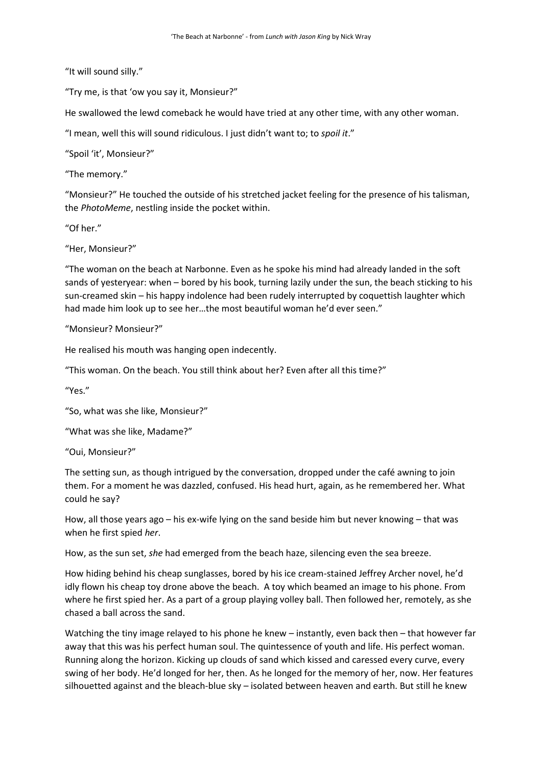"It will sound silly."

"Try me, is that 'ow you say it, Monsieur?"

He swallowed the lewd comeback he would have tried at any other time, with any other woman.

"I mean, well this will sound ridiculous. I just didn't want to; to *spoil it*."

"Spoil 'it', Monsieur?"

"The memory."

"Monsieur?" He touched the outside of his stretched jacket feeling for the presence of his talisman, the *PhotoMeme*, nestling inside the pocket within.

"Of her."

"Her, Monsieur?"

"The woman on the beach at Narbonne. Even as he spoke his mind had already landed in the soft sands of yesteryear: when – bored by his book, turning lazily under the sun, the beach sticking to his sun-creamed skin – his happy indolence had been rudely interrupted by coquettish laughter which had made him look up to see her…the most beautiful woman he'd ever seen."

"Monsieur? Monsieur?"

He realised his mouth was hanging open indecently.

"This woman. On the beach. You still think about her? Even after all this time?"

"Yes."

"So, what was she like, Monsieur?"

"What was she like, Madame?"

"Oui, Monsieur?"

The setting sun, as though intrigued by the conversation, dropped under the café awning to join them. For a moment he was dazzled, confused. His head hurt, again, as he remembered her. What could he say?

How, all those years ago – his ex-wife lying on the sand beside him but never knowing – that was when he first spied *her*.

How, as the sun set, *she* had emerged from the beach haze, silencing even the sea breeze.

How hiding behind his cheap sunglasses, bored by his ice cream-stained Jeffrey Archer novel, he'd idly flown his cheap toy drone above the beach. A toy which beamed an image to his phone. From where he first spied her. As a part of a group playing volley ball. Then followed her, remotely, as she chased a ball across the sand.

Watching the tiny image relayed to his phone he knew – instantly, even back then – that however far away that this was his perfect human soul. The quintessence of youth and life. His perfect woman. Running along the horizon. Kicking up clouds of sand which kissed and caressed every curve, every swing of her body. He'd longed for her, then. As he longed for the memory of her, now. Her features silhouetted against and the bleach-blue sky – isolated between heaven and earth. But still he knew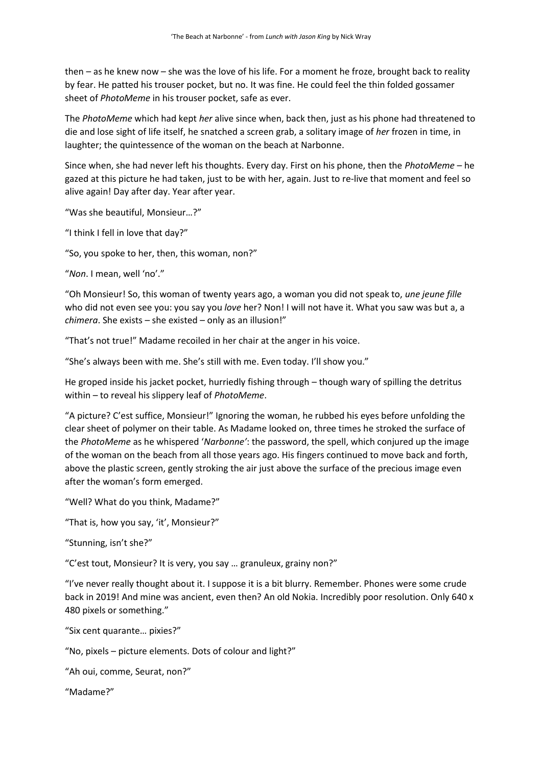then – as he knew now – she was the love of his life. For a moment he froze, brought back to reality by fear. He patted his trouser pocket, but no. It was fine. He could feel the thin folded gossamer sheet of *PhotoMeme* in his trouser pocket, safe as ever.

The *PhotoMeme* which had kept *her* alive since when, back then, just as his phone had threatened to die and lose sight of life itself, he snatched a screen grab, a solitary image of *her* frozen in time, in laughter; the quintessence of the woman on the beach at Narbonne.

Since when, she had never left his thoughts. Every day. First on his phone, then the *PhotoMeme* – he gazed at this picture he had taken, just to be with her, again. Just to re-live that moment and feel so alive again! Day after day. Year after year.

"Was she beautiful, Monsieur…?"

"I think I fell in love that day?"

"So, you spoke to her, then, this woman, non?"

"*Non*. I mean, well 'no'."

"Oh Monsieur! So, this woman of twenty years ago, a woman you did not speak to, *une jeune fille* who did not even see you: you say you *love* her? Non! I will not have it. What you saw was but a, a *chimera*. She exists – she existed – only as an illusion!"

"That's not true!" Madame recoiled in her chair at the anger in his voice.

"She's always been with me. She's still with me. Even today. I'll show you."

He groped inside his jacket pocket, hurriedly fishing through – though wary of spilling the detritus within – to reveal his slippery leaf of *PhotoMeme*.

"A picture? C'est suffice, Monsieur!" Ignoring the woman, he rubbed his eyes before unfolding the clear sheet of polymer on their table. As Madame looked on, three times he stroked the surface of the *PhotoMeme* as he whispered '*Narbonne'*: the password, the spell, which conjured up the image of the woman on the beach from all those years ago. His fingers continued to move back and forth, above the plastic screen, gently stroking the air just above the surface of the precious image even after the woman's form emerged.

"Well? What do you think, Madame?"

"That is, how you say, 'it', Monsieur?"

"Stunning, isn't she?"

"C'est tout, Monsieur? It is very, you say … granuleux, grainy non?"

"I've never really thought about it. I suppose it is a bit blurry. Remember. Phones were some crude back in 2019! And mine was ancient, even then? An old Nokia. Incredibly poor resolution. Only 640 x 480 pixels or something."

"Six cent quarante… pixies?"

"No, pixels – picture elements. Dots of colour and light?"

"Ah oui, comme, Seurat, non?"

"Madame?"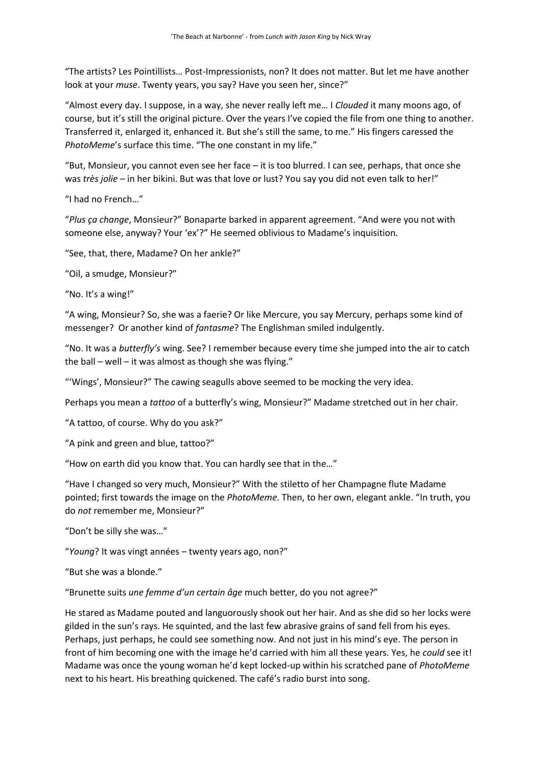"The artists? Les Pointillists… Post-Impressionists, non? It does not matter. But let me have another look at your *muse*. Twenty years, you say? Have you seen her, since?"

"Almost every day. I suppose, in a way, she never really left me… I *Clouded* it many moons ago, of course, but it's still the original picture. Over the years I've copied the file from one thing to another. Transferred it, enlarged it, enhanced it. But she's still the same, to me." His fingers caressed the *PhotoMeme*'s surface this time. "The one constant in my life."

"But, Monsieur, you cannot even see her face – it is too blurred. I can see, perhaps, that once she was *très jolie* – in her bikini. But was that love or lust? You say you did not even talk to her!"

"I had no French…"

"*Plus ça change*, Monsieur?" Bonaparte barked in apparent agreement. "And were you not with someone else, anyway? Your 'ex'?" He seemed oblivious to Madame's inquisition.

"See, that, there, Madame? On her ankle?"

"Oil, a smudge, Monsieur?"

"No. It's a wing!"

"A wing, Monsieur? So, she was a faerie? Or like Mercure, you say Mercury, perhaps some kind of messenger? Or another kind of *fantasme*? The Englishman smiled indulgently.

"No. It was a *butterfly's* wing. See? I remember because every time she jumped into the air to catch the ball – well – it was almost as though she was flying."

"'Wings', Monsieur?" The cawing seagulls above seemed to be mocking the very idea.

Perhaps you mean a *tattoo* of a butterfly's wing, Monsieur?" Madame stretched out in her chair.

"A tattoo, of course. Why do you ask?"

"A pink and green and blue, tattoo?"

"How on earth did you know that. You can hardly see that in the…"

"Have I changed so very much, Monsieur?" With the stiletto of her Champagne flute Madame pointed; first towards the image on the *PhotoMeme*. Then, to her own, elegant ankle. "In truth, you do *not* remember me, Monsieur?"

"Don't be silly she was…"

"*Young*? It was vingt années – twenty years ago, non?"

"But she was a blonde."

"Brunette suits *une femme d'un certain âge* much better, do you not agree?"

He stared as Madame pouted and languorously shook out her hair. And as she did so her locks were gilded in the sun's rays. He squinted, and the last few abrasive grains of sand fell from his eyes. Perhaps, just perhaps, he could see something now. And not just in his mind's eye. The person in front of him becoming one with the image he'd carried with him all these years. Yes, he *could* see it! Madame was once the young woman he'd kept locked-up within his scratched pane of *PhotoMeme* next to his heart. His breathing quickened. The café's radio burst into song.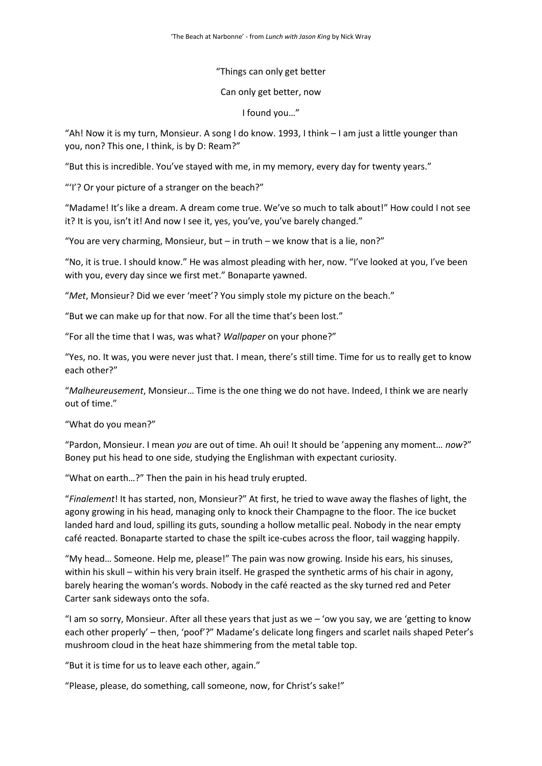"Things can only get better

#### Can only get better, now

I found you…"

"Ah! Now it is my turn, Monsieur. A song I do know. 1993, I think – I am just a little younger than you, non? This one, I think, is by D: Ream?"

"But this is incredible. You've stayed with me, in my memory, every day for twenty years."

"'I'? Or your picture of a stranger on the beach?"

"Madame! It's like a dream. A dream come true. We've so much to talk about!" How could I not see it? It is you, isn't it! And now I see it, yes, you've, you've barely changed."

"You are very charming, Monsieur, but  $-$  in truth  $-$  we know that is a lie, non?"

"No, it is true. I should know." He was almost pleading with her, now. "I've looked at you, I've been with you, every day since we first met." Bonaparte yawned.

"*Met*, Monsieur? Did we ever 'meet'? You simply stole my picture on the beach."

"But we can make up for that now. For all the time that's been lost."

"For all the time that I was, was what? *Wallpaper* on your phone?"

"Yes, no. It was, you were never just that. I mean, there's still time. Time for us to really get to know each other?"

"*Malheureusement*, Monsieur… Time is the one thing we do not have. Indeed, I think we are nearly out of time."

"What do you mean?"

"Pardon, Monsieur. I mean *you* are out of time. Ah oui! It should be 'appening any moment… *now*?" Boney put his head to one side, studying the Englishman with expectant curiosity.

"What on earth…?" Then the pain in his head truly erupted.

"*Finalement*! It has started, non, Monsieur?" At first, he tried to wave away the flashes of light, the agony growing in his head, managing only to knock their Champagne to the floor. The ice bucket landed hard and loud, spilling its guts, sounding a hollow metallic peal. Nobody in the near empty café reacted. Bonaparte started to chase the spilt ice-cubes across the floor, tail wagging happily.

"My head… Someone. Help me, please!" The pain was now growing. Inside his ears, his sinuses, within his skull – within his very brain itself. He grasped the synthetic arms of his chair in agony, barely hearing the woman's words. Nobody in the café reacted as the sky turned red and Peter Carter sank sideways onto the sofa.

"I am so sorry, Monsieur. After all these years that just as we  $-$  'ow you say, we are 'getting to know each other properly' – then, 'poof'?" Madame's delicate long fingers and scarlet nails shaped Peter's mushroom cloud in the heat haze shimmering from the metal table top.

"But it is time for us to leave each other, again."

"Please, please, do something, call someone, now, for Christ's sake!"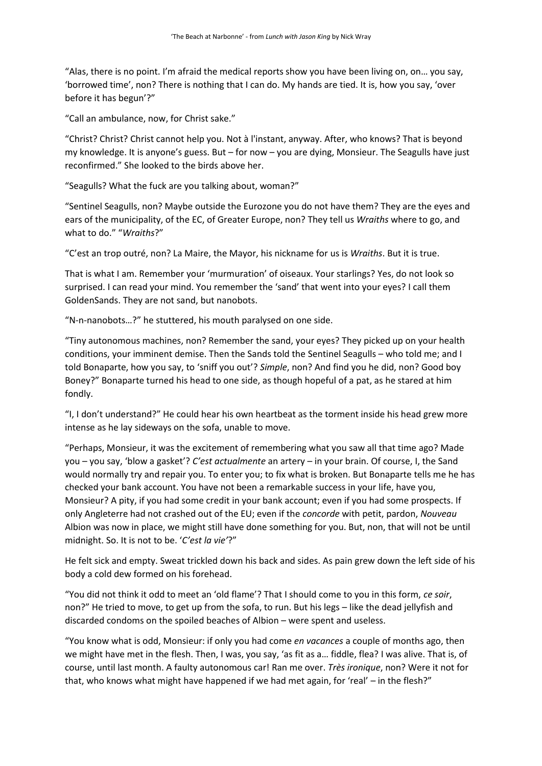"Alas, there is no point. I'm afraid the medical reports show you have been living on, on… you say, 'borrowed time', non? There is nothing that I can do. My hands are tied. It is, how you say, 'over before it has begun'?"

"Call an ambulance, now, for Christ sake."

"Christ? Christ? Christ cannot help you. Not à l'instant, anyway. After, who knows? That is beyond my knowledge. It is anyone's guess. But – for now – you are dying, Monsieur. The Seagulls have just reconfirmed." She looked to the birds above her.

"Seagulls? What the fuck are you talking about, woman?"

"Sentinel Seagulls, non? Maybe outside the Eurozone you do not have them? They are the eyes and ears of the municipality, of the EC, of Greater Europe, non? They tell us *Wraiths* where to go, and what to do." "*Wraiths*?"

"C'est an trop outré, non? La Maire, the Mayor, his nickname for us is *Wraiths*. But it is true.

That is what I am. Remember your 'murmuration' of oiseaux. Your starlings? Yes, do not look so surprised. I can read your mind. You remember the 'sand' that went into your eyes? I call them GoldenSands. They are not sand, but nanobots.

"N-n-nanobots…?" he stuttered, his mouth paralysed on one side.

"Tiny autonomous machines, non? Remember the sand, your eyes? They picked up on your health conditions, your imminent demise. Then the Sands told the Sentinel Seagulls – who told me; and I told Bonaparte, how you say, to 'sniff you out'? *Simple*, non? And find you he did, non? Good boy Boney?" Bonaparte turned his head to one side, as though hopeful of a pat, as he stared at him fondly.

"I, I don't understand?" He could hear his own heartbeat as the torment inside his head grew more intense as he lay sideways on the sofa, unable to move.

"Perhaps, Monsieur, it was the excitement of remembering what you saw all that time ago? Made you – you say, 'blow a gasket'? *C'est actualmente* an artery – in your brain. Of course, I, the Sand would normally try and repair you. To enter you; to fix what is broken. But Bonaparte tells me he has checked your bank account. You have not been a remarkable success in your life, have you, Monsieur? A pity, if you had some credit in your bank account; even if you had some prospects. If only Angleterre had not crashed out of the EU; even if the *concorde* with petit, pardon, *Nouveau* Albion was now in place, we might still have done something for you. But, non, that will not be until midnight. So. It is not to be. '*C'est la vie'*?"

He felt sick and empty. Sweat trickled down his back and sides. As pain grew down the left side of his body a cold dew formed on his forehead.

"You did not think it odd to meet an 'old flame'? That I should come to you in this form, *ce soir*, non?" He tried to move, to get up from the sofa, to run. But his legs – like the dead jellyfish and discarded condoms on the spoiled beaches of Albion – were spent and useless.

"You know what is odd, Monsieur: if only you had come *en vacances* a couple of months ago, then we might have met in the flesh. Then, I was, you say, 'as fit as a… fiddle, flea? I was alive. That is, of course, until last month. A faulty autonomous car! Ran me over. *Très ironique*, non? Were it not for that, who knows what might have happened if we had met again, for 'real' – in the flesh?"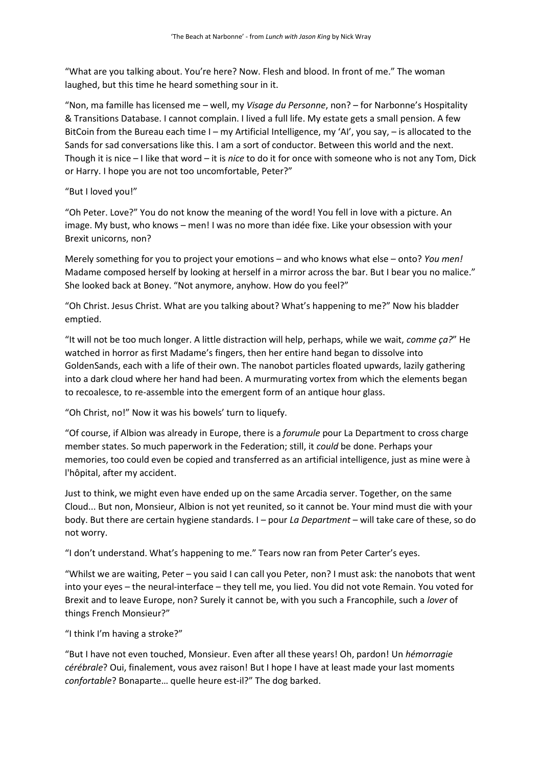"What are you talking about. You're here? Now. Flesh and blood. In front of me." The woman laughed, but this time he heard something sour in it.

"Non, ma famille has licensed me – well, my *Visage du Personne*, non? – for Narbonne's Hospitality & Transitions Database. I cannot complain. I lived a full life. My estate gets a small pension. A few BitCoin from the Bureau each time I – my Artificial Intelligence, my 'AI', you say, – is allocated to the Sands for sad conversations like this. I am a sort of conductor. Between this world and the next. Though it is nice – I like that word – it is *nice* to do it for once with someone who is not any Tom, Dick or Harry. I hope you are not too uncomfortable, Peter?"

"But I loved you!"

"Oh Peter. Love?" You do not know the meaning of the word! You fell in love with a picture. An image. My bust, who knows – men! I was no more than idée fixe. Like your obsession with your Brexit unicorns, non?

Merely something for you to project your emotions – and who knows what else – onto? *You men!* Madame composed herself by looking at herself in a mirror across the bar. But I bear you no malice." She looked back at Boney. "Not anymore, anyhow. How do you feel?"

"Oh Christ. Jesus Christ. What are you talking about? What's happening to me?" Now his bladder emptied.

"It will not be too much longer. A little distraction will help, perhaps, while we wait, *comme ça?*" He watched in horror as first Madame's fingers, then her entire hand began to dissolve into GoldenSands, each with a life of their own. The nanobot particles floated upwards, lazily gathering into a dark cloud where her hand had been. A murmurating vortex from which the elements began to recoalesce, to re-assemble into the emergent form of an antique hour glass.

"Oh Christ, no!" Now it was his bowels' turn to liquefy.

"Of course, if Albion was already in Europe, there is a *forumule* pour La Department to cross charge member states. So much paperwork in the Federation; still, it *could* be done. Perhaps your memories, too could even be copied and transferred as an artificial intelligence, just as mine were à l'hôpital, after my accident.

Just to think, we might even have ended up on the same Arcadia server. Together, on the same Cloud... But non, Monsieur, Albion is not yet reunited, so it cannot be. Your mind must die with your body. But there are certain hygiene standards. I – pour *La Department* – will take care of these, so do not worry.

"I don't understand. What's happening to me." Tears now ran from Peter Carter's eyes.

"Whilst we are waiting, Peter – you said I can call you Peter, non? I must ask: the nanobots that went into your eyes – the neural-interface – they tell me, you lied. You did not vote Remain. You voted for Brexit and to leave Europe, non? Surely it cannot be, with you such a Francophile, such a *lover* of things French Monsieur?"

"I think I'm having a stroke?"

"But I have not even touched, Monsieur. Even after all these years! Oh, pardon! Un *hémorragie cérébrale*? Oui, finalement, vous avez raison! But I hope I have at least made your last moments *confortable*? Bonaparte… quelle heure est-il?" The dog barked.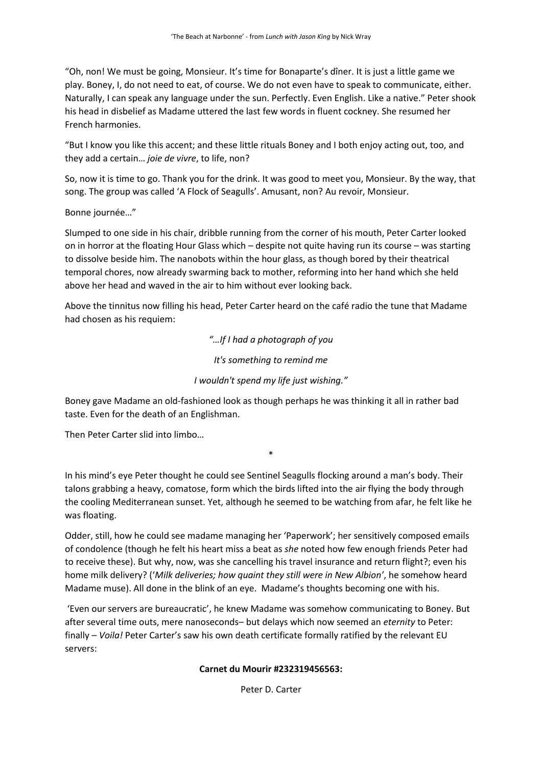"Oh, non! We must be going, Monsieur. It's time for Bonaparte's dîner. It is just a little game we play. Boney, I, do not need to eat, of course. We do not even have to speak to communicate, either. Naturally, I can speak any language under the sun. Perfectly. Even English. Like a native." Peter shook his head in disbelief as Madame uttered the last few words in fluent cockney. She resumed her French harmonies.

"But I know you like this accent; and these little rituals Boney and I both enjoy acting out, too, and they add a certain… *joie de vivre*, to life, non?

So, now it is time to go. Thank you for the drink. It was good to meet you, Monsieur. By the way, that song. The group was called 'A Flock of Seagulls'. Amusant, non? Au revoir, Monsieur.

Bonne journée…"

Slumped to one side in his chair, dribble running from the corner of his mouth, Peter Carter looked on in horror at the floating Hour Glass which – despite not quite having run its course – was starting to dissolve beside him. The nanobots within the hour glass, as though bored by their theatrical temporal chores, now already swarming back to mother, reforming into her hand which she held above her head and waved in the air to him without ever looking back.

Above the tinnitus now filling his head, Peter Carter heard on the café radio the tune that Madame had chosen as his requiem:

> *"…If I had a photograph of you It's something to remind me I wouldn't spend my life just wishing."*

Boney gave Madame an old-fashioned look as though perhaps he was thinking it all in rather bad taste. Even for the death of an Englishman.

Then Peter Carter slid into limbo…

In his mind's eye Peter thought he could see Sentinel Seagulls flocking around a man's body. Their talons grabbing a heavy, comatose, form which the birds lifted into the air flying the body through the cooling Mediterranean sunset. Yet, although he seemed to be watching from afar, he felt like he was floating.

\*

Odder, still, how he could see madame managing her 'Paperwork'; her sensitively composed emails of condolence (though he felt his heart miss a beat as *she* noted how few enough friends Peter had to receive these). But why, now, was she cancelling his travel insurance and return flight?; even his home milk delivery? ('*Milk deliveries; how quaint they still were in New Albion'*, he somehow heard Madame muse). All done in the blink of an eye. Madame's thoughts becoming one with his.

'Even our servers are bureaucratic', he knew Madame was somehow communicating to Boney. But after several time outs, mere nanoseconds– but delays which now seemed an *eternity* to Peter: finally – *Voila!* Peter Carter's saw his own death certificate formally ratified by the relevant EU servers:

#### **Carnet du Mourir #232319456563:**

Peter D. Carter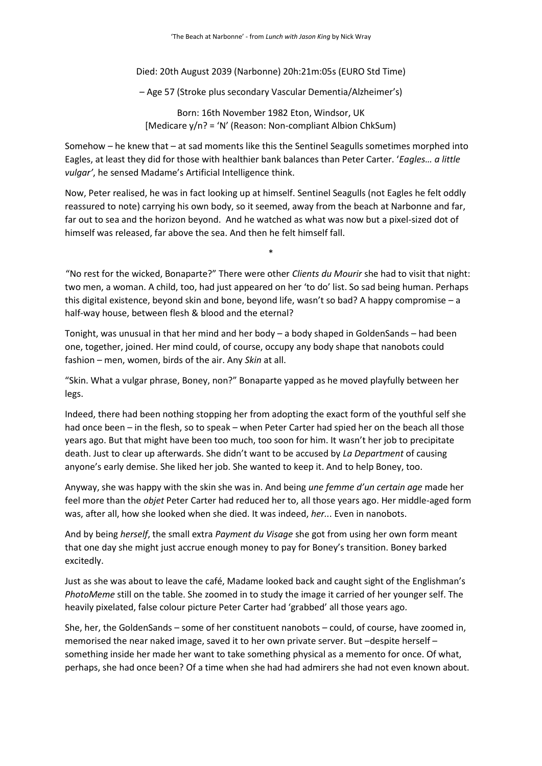Died: 20th August 2039 (Narbonne) 20h:21m:05s (EURO Std Time)

– Age 57 (Stroke plus secondary Vascular Dementia/Alzheimer's)

Born: 16th November 1982 Eton, Windsor, UK [Medicare y/n? = 'N' (Reason: Non-compliant Albion ChkSum)

Somehow – he knew that – at sad moments like this the Sentinel Seagulls sometimes morphed into Eagles, at least they did for those with healthier bank balances than Peter Carter. '*Eagles… a little vulgar'*, he sensed Madame's Artificial Intelligence think.

Now, Peter realised, he was in fact looking up at himself. Sentinel Seagulls (not Eagles he felt oddly reassured to note) carrying his own body, so it seemed, away from the beach at Narbonne and far, far out to sea and the horizon beyond. And he watched as what was now but a pixel-sized dot of himself was released, far above the sea. And then he felt himself fall.

"No rest for the wicked, Bonaparte?" There were other *Clients du Mourir* she had to visit that night: two men, a woman. A child, too, had just appeared on her 'to do' list. So sad being human. Perhaps this digital existence, beyond skin and bone, beyond life, wasn't so bad? A happy compromise – a half-way house, between flesh & blood and the eternal?

\*

Tonight, was unusual in that her mind and her body – a body shaped in GoldenSands – had been one, together, joined. Her mind could, of course, occupy any body shape that nanobots could fashion – men, women, birds of the air. Any *Skin* at all.

"Skin. What a vulgar phrase, Boney, non?" Bonaparte yapped as he moved playfully between her legs.

Indeed, there had been nothing stopping her from adopting the exact form of the youthful self she had once been – in the flesh, so to speak – when Peter Carter had spied her on the beach all those years ago. But that might have been too much, too soon for him. It wasn't her job to precipitate death. Just to clear up afterwards. She didn't want to be accused by *La Department* of causing anyone's early demise. She liked her job. She wanted to keep it. And to help Boney, too.

Anyway, she was happy with the skin she was in. And being *une femme d'un certain age* made her feel more than the *objet* Peter Carter had reduced her to, all those years ago. Her middle-aged form was, after all, how she looked when she died. It was indeed, *her..*. Even in nanobots.

And by being *herself*, the small extra *Payment du Visage* she got from using her own form meant that one day she might just accrue enough money to pay for Boney's transition. Boney barked excitedly.

Just as she was about to leave the café, Madame looked back and caught sight of the Englishman's *PhotoMeme* still on the table. She zoomed in to study the image it carried of her younger self. The heavily pixelated, false colour picture Peter Carter had 'grabbed' all those years ago.

She, her, the GoldenSands – some of her constituent nanobots – could, of course, have zoomed in, memorised the near naked image, saved it to her own private server. But –despite herself – something inside her made her want to take something physical as a memento for once. Of what, perhaps, she had once been? Of a time when she had had admirers she had not even known about.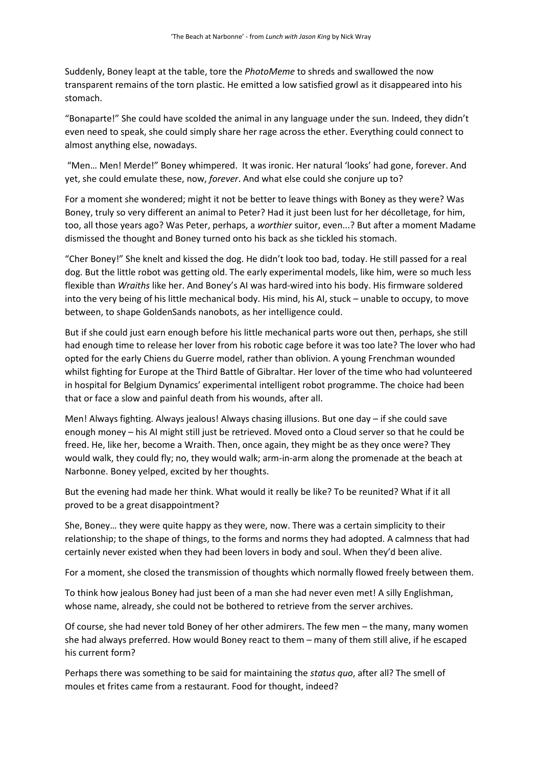Suddenly, Boney leapt at the table, tore the *PhotoMeme* to shreds and swallowed the now transparent remains of the torn plastic. He emitted a low satisfied growl as it disappeared into his stomach.

"Bonaparte!" She could have scolded the animal in any language under the sun. Indeed, they didn't even need to speak, she could simply share her rage across the ether. Everything could connect to almost anything else, nowadays.

"Men… Men! Merde!" Boney whimpered. It was ironic. Her natural 'looks' had gone, forever. And yet, she could emulate these, now, *forever*. And what else could she conjure up to?

For a moment she wondered; might it not be better to leave things with Boney as they were? Was Boney, truly so very different an animal to Peter? Had it just been lust for her décolletage, for him, too, all those years ago? Was Peter, perhaps, a *worthier* suitor, even...? But after a moment Madame dismissed the thought and Boney turned onto his back as she tickled his stomach.

"Cher Boney!" She knelt and kissed the dog. He didn't look too bad, today. He still passed for a real dog. But the little robot was getting old. The early experimental models, like him, were so much less flexible than *Wraiths* like her. And Boney's AI was hard-wired into his body. His firmware soldered into the very being of his little mechanical body. His mind, his AI, stuck – unable to occupy, to move between, to shape GoldenSands nanobots, as her intelligence could.

But if she could just earn enough before his little mechanical parts wore out then, perhaps, she still had enough time to release her lover from his robotic cage before it was too late? The lover who had opted for the early Chiens du Guerre model, rather than oblivion. A young Frenchman wounded whilst fighting for Europe at the Third Battle of Gibraltar. Her lover of the time who had volunteered in hospital for Belgium Dynamics' experimental intelligent robot programme. The choice had been that or face a slow and painful death from his wounds, after all.

Men! Always fighting. Always jealous! Always chasing illusions. But one day – if she could save enough money – his AI might still just be retrieved. Moved onto a Cloud server so that he could be freed. He, like her, become a Wraith. Then, once again, they might be as they once were? They would walk, they could fly; no, they would walk; arm-in-arm along the promenade at the beach at Narbonne. Boney yelped, excited by her thoughts.

But the evening had made her think. What would it really be like? To be reunited? What if it all proved to be a great disappointment?

She, Boney… they were quite happy as they were, now. There was a certain simplicity to their relationship; to the shape of things, to the forms and norms they had adopted. A calmness that had certainly never existed when they had been lovers in body and soul. When they'd been alive.

For a moment, she closed the transmission of thoughts which normally flowed freely between them.

To think how jealous Boney had just been of a man she had never even met! A silly Englishman, whose name, already, she could not be bothered to retrieve from the server archives.

Of course, she had never told Boney of her other admirers. The few men – the many, many women she had always preferred. How would Boney react to them – many of them still alive, if he escaped his current form?

Perhaps there was something to be said for maintaining the *status quo*, after all? The smell of moules et frites came from a restaurant. Food for thought, indeed?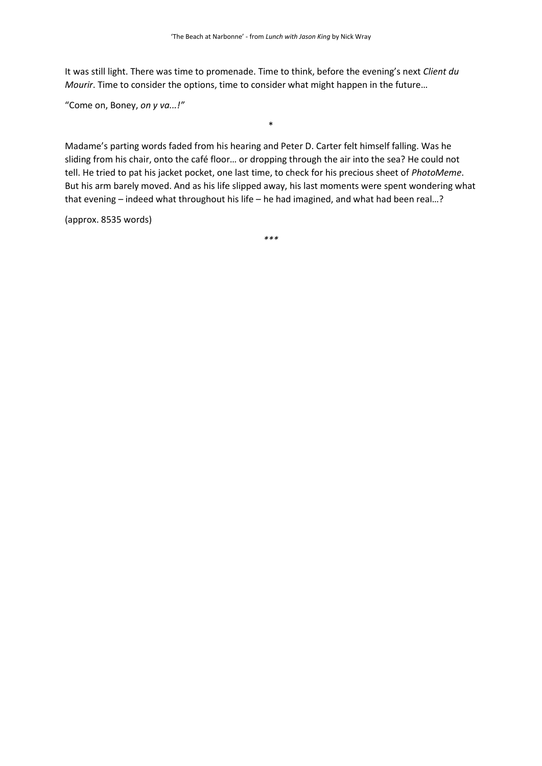It was still light. There was time to promenade. Time to think, before the evening's next *Client du Mourir*. Time to consider the options, time to consider what might happen in the future…

"Come on, Boney, *on y va...!"* 

Madame's parting words faded from his hearing and Peter D. Carter felt himself falling. Was he sliding from his chair, onto the café floor… or dropping through the air into the sea? He could not tell. He tried to pat his jacket pocket, one last time, to check for his precious sheet of *PhotoMeme*. But his arm barely moved. And as his life slipped away, his last moments were spent wondering what that evening – indeed what throughout his life – he had imagined, and what had been real…?

\*

(approx. 8535 words)

*\*\*\**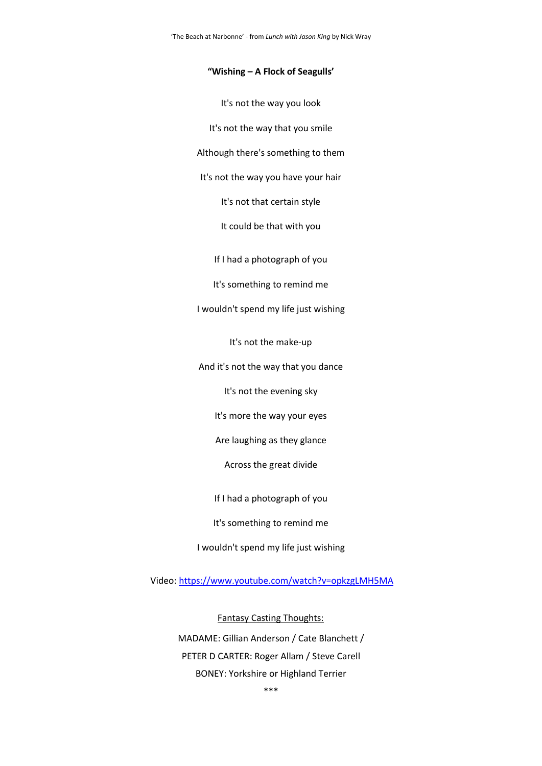#### **"Wishing – A Flock of Seagulls'**

It's not the way you look

It's not the way that you smile

Although there's something to them

It's not the way you have your hair

It's not that certain style

It could be that with you

If I had a photograph of you

It's something to remind me

I wouldn't spend my life just wishing

It's not the make-up

And it's not the way that you dance

It's not the evening sky

It's more the way your eyes

Are laughing as they glance

Across the great divide

If I had a photograph of you

It's something to remind me

I wouldn't spend my life just wishing

Video[: https://www.youtube.com/watch?v=opkzgLMH5MA](https://www.youtube.com/watch?v=opkzgLMH5MA)

Fantasy Casting Thoughts: MADAME: Gillian Anderson / Cate Blanchett / PETER D CARTER: Roger Allam / Steve Carell BONEY: Yorkshire or Highland Terrier

\*\*\*